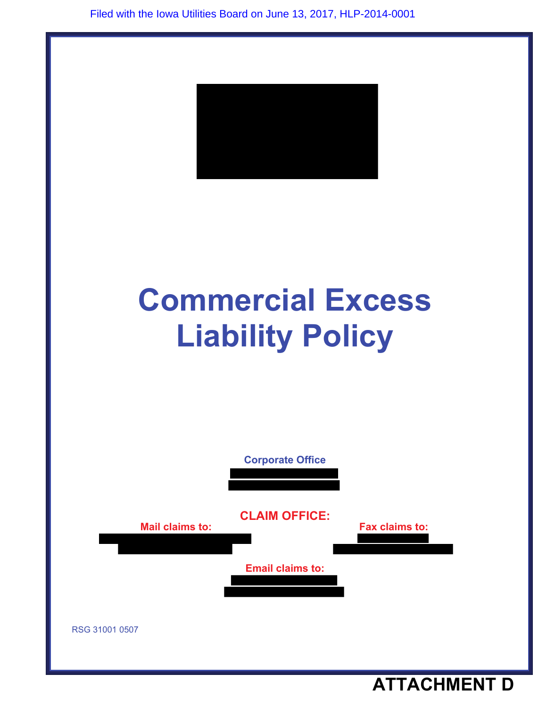

# **Commercial Excess Liability Policy**



**ATTACHMENT D**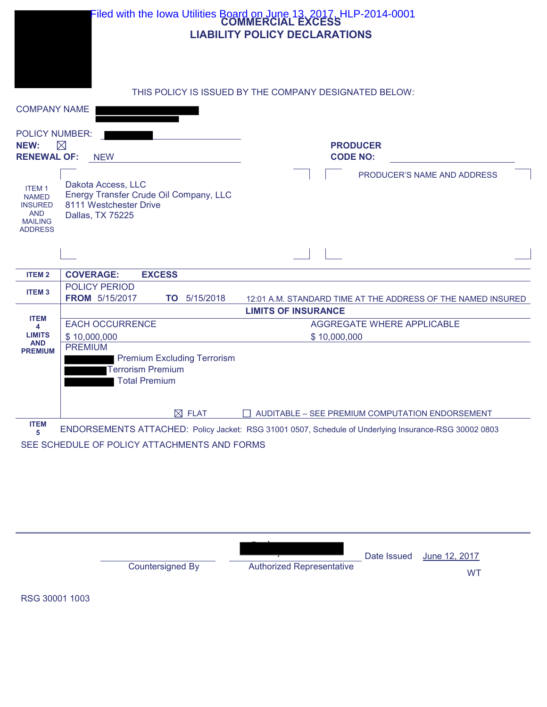|                                                                                                  | Filed with the Iowa Utilities Board on June 13, 2017, HLP-2014-0001                                               | <b>LIABILITY POLICY DECLARATIONS</b>                                                                  |  |
|--------------------------------------------------------------------------------------------------|-------------------------------------------------------------------------------------------------------------------|-------------------------------------------------------------------------------------------------------|--|
| <b>COMPANY NAME</b>                                                                              | THIS POLICY IS ISSUED BY THE COMPANY DESIGNATED BELOW:                                                            |                                                                                                       |  |
| <b>POLICY NUMBER:</b><br>NEW:<br><b>RENEWAL OF:</b>                                              | $\boxtimes$<br><b>NEW</b>                                                                                         | <b>PRODUCER</b><br><b>CODE NO:</b>                                                                    |  |
| <b>ITEM1</b><br><b>NAMED</b><br><b>INSURED</b><br><b>AND</b><br><b>MAILING</b><br><b>ADDRESS</b> | Dakota Access, LLC<br>Energy Transfer Crude Oil Company, LLC<br>8111 Westchester Drive<br><b>Dallas, TX 75225</b> | PRODUCER'S NAME AND ADDRESS                                                                           |  |
|                                                                                                  |                                                                                                                   |                                                                                                       |  |
| <b>ITEM2</b>                                                                                     | <b>COVERAGE:</b><br><b>EXCESS</b>                                                                                 |                                                                                                       |  |
| <b>ITEM3</b>                                                                                     | POLICY PERIOD<br><b>FROM</b> 5/15/2017<br>TO 5/15/2018                                                            | 12:01 A.M. STANDARD TIME AT THE ADDRESS OF THE NAMED INSURED                                          |  |
|                                                                                                  |                                                                                                                   | <b>LIMITS OF INSURANCE</b>                                                                            |  |
| <b>ITEM</b><br>4                                                                                 | <b>EACH OCCURRENCE</b>                                                                                            | <b>AGGREGATE WHERE APPLICABLE</b>                                                                     |  |
| <b>LIMITS</b><br><b>AND</b>                                                                      | \$10,000,000                                                                                                      | \$10,000,000                                                                                          |  |
| <b>PREMIUM</b>                                                                                   | <b>PREMIUM</b>                                                                                                    |                                                                                                       |  |
|                                                                                                  | <b>Premium Excluding Terrorism</b><br><b>Terrorism Premium</b><br><b>Total Premium</b>                            |                                                                                                       |  |
|                                                                                                  | $\boxtimes$ FLAT                                                                                                  | AUDITABLE - SEE PREMIUM COMPUTATION ENDORSEMENT                                                       |  |
| <b>ITEM</b><br>5                                                                                 |                                                                                                                   | ENDORSEMENTS ATTACHED: Policy Jacket: RSG 31001 0507, Schedule of Underlying Insurance-RSG 30002 0803 |  |

SEE SCHEDULE OF POLICY ATTACHMENTS AND FORMS

Date Issued June 12, 2017 Countersigned By Authorized Representative WT

RSG 30001 1003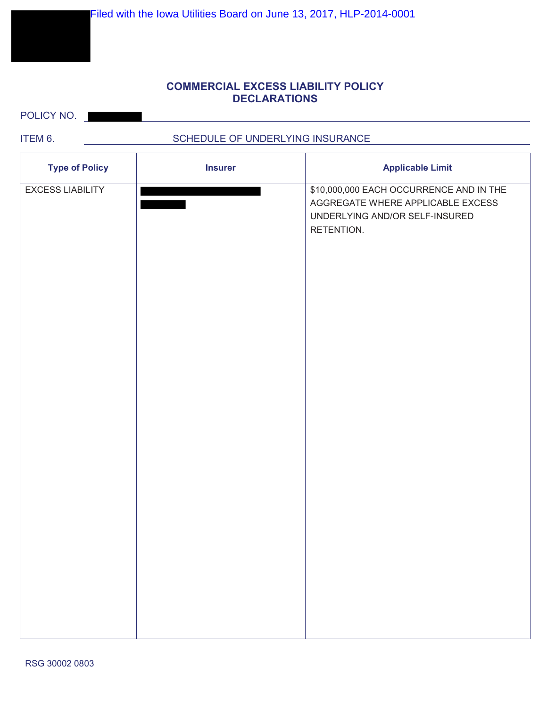# **COMMERCIAL EXCESS LIABILITY POLICY DECLARATIONS**

POLICY NO.

п

# ITEM 6. SCHEDULE OF UNDERLYING INSURANCE

| <b>Type of Policy</b>   | <b>Insurer</b> | <b>Applicable Limit</b>                                                                                                      |
|-------------------------|----------------|------------------------------------------------------------------------------------------------------------------------------|
| <b>EXCESS LIABILITY</b> |                | \$10,000,000 EACH OCCURRENCE AND IN THE<br>AGGREGATE WHERE APPLICABLE EXCESS<br>UNDERLYING AND/OR SELF-INSURED<br>RETENTION. |
|                         |                |                                                                                                                              |
|                         |                |                                                                                                                              |
|                         |                |                                                                                                                              |
|                         |                |                                                                                                                              |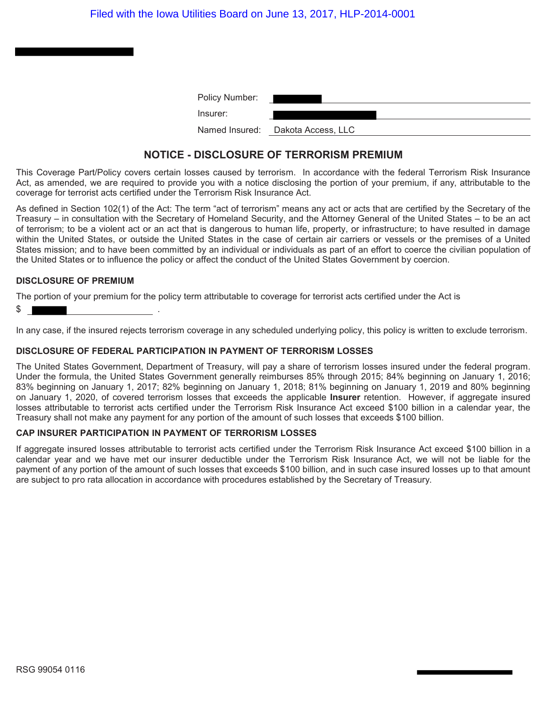| Policy Number: |                                   |
|----------------|-----------------------------------|
| Insurer:       |                                   |
|                | Named Insured: Dakota Access, LLC |

# **NOTICE - DISCLOSURE OF TERRORISM PREMIUM**

This Coverage Part/Policy covers certain losses caused by terrorism. In accordance with the federal Terrorism Risk Insurance Act, as amended, we are required to provide you with a notice disclosing the portion of your premium, if any, attributable to the coverage for terrorist acts certified under the Terrorism Risk Insurance Act.

As defined in Section 102(1) of the Act: The term "act of terrorism" means any act or acts that are certified by the Secretary of the Treasury – in consultation with the Secretary of Homeland Security, and the Attorney General of the United States – to be an act of terrorism; to be a violent act or an act that is dangerous to human life, property, or infrastructure; to have resulted in damage within the United States, or outside the United States in the case of certain air carriers or vessels or the premises of a United States mission; and to have been committed by an individual or individuals as part of an effort to coerce the civilian population of the United States or to influence the policy or affect the conduct of the United States Government by coercion.

### **DISCLOSURE OF PREMIUM**

The portion of your premium for the policy term attributable to coverage for terrorist acts certified under the Act is

 $$$   $\vert$ 

In any case, if the insured rejects terrorism coverage in any scheduled underlying policy, this policy is written to exclude terrorism.

### **DISCLOSURE OF FEDERAL PARTICIPATION IN PAYMENT OF TERRORISM LOSSES**

The United States Government, Department of Treasury, will pay a share of terrorism losses insured under the federal program. Under the formula, the United States Government generally reimburses 85% through 2015; 84% beginning on January 1, 2016; 83% beginning on January 1, 2017; 82% beginning on January 1, 2018; 81% beginning on January 1, 2019 and 80% beginning on January 1, 2020, of covered terrorism losses that exceeds the applicable **Insurer** retention. However, if aggregate insured losses attributable to terrorist acts certified under the Terrorism Risk Insurance Act exceed \$100 billion in a calendar year, the Treasury shall not make any payment for any portion of the amount of such losses that exceeds \$100 billion.

### **CAP INSURER PARTICIPATION IN PAYMENT OF TERRORISM LOSSES**

If aggregate insured losses attributable to terrorist acts certified under the Terrorism Risk Insurance Act exceed \$100 billion in a calendar year and we have met our insurer deductible under the Terrorism Risk Insurance Act, we will not be liable for the payment of any portion of the amount of such losses that exceeds \$100 billion, and in such case insured losses up to that amount are subject to pro rata allocation in accordance with procedures established by the Secretary of Treasury.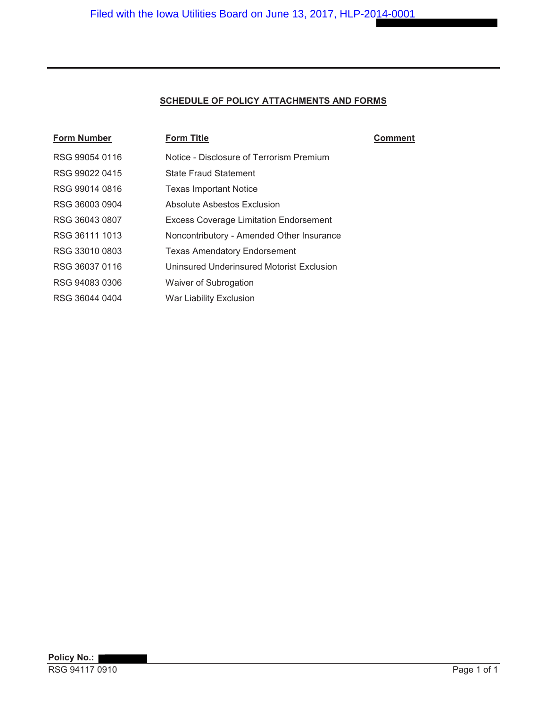# **SCHEDULE OF POLICY ATTACHMENTS AND FORMS**

| <b>Form Number</b> | <b>Form Title</b>                             | Comment |
|--------------------|-----------------------------------------------|---------|
| RSG 99054 0116     | Notice - Disclosure of Terrorism Premium      |         |
| RSG 99022 0415     | <b>State Fraud Statement</b>                  |         |
| RSG 99014 0816     | <b>Texas Important Notice</b>                 |         |
| RSG 36003 0904     | Absolute Asbestos Exclusion                   |         |
| RSG 36043 0807     | <b>Excess Coverage Limitation Endorsement</b> |         |
| RSG 36111 1013     | Noncontributory - Amended Other Insurance     |         |
| RSG 33010 0803     | <b>Texas Amendatory Endorsement</b>           |         |
| RSG 36037 0116     | Uninsured Underinsured Motorist Exclusion     |         |
| RSG 94083 0306     | Waiver of Subrogation                         |         |
| RSG 36044 0404     | <b>War Liability Exclusion</b>                |         |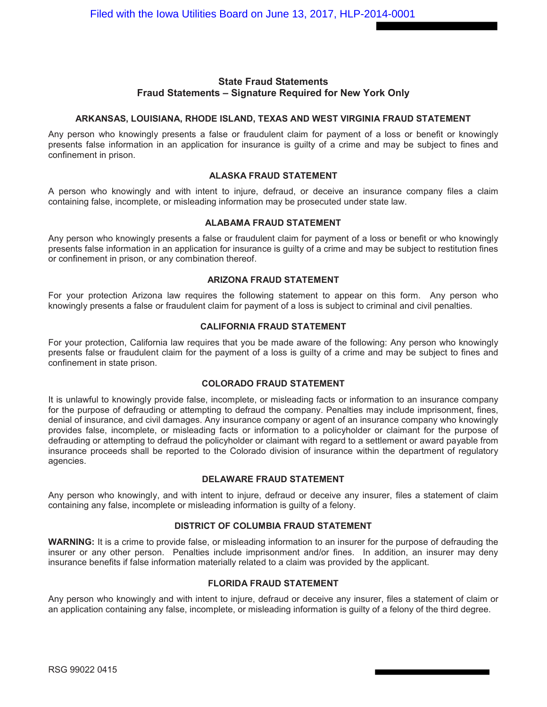# **State Fraud Statements Fraud Statements – Signature Required for New York Only**

### **ARKANSAS, LOUISIANA, RHODE ISLAND, TEXAS AND WEST VIRGINIA FRAUD STATEMENT**

Any person who knowingly presents a false or fraudulent claim for payment of a loss or benefit or knowingly presents false information in an application for insurance is guilty of a crime and may be subject to fines and confinement in prison.

### **ALASKA FRAUD STATEMENT**

A person who knowingly and with intent to injure, defraud, or deceive an insurance company files a claim containing false, incomplete, or misleading information may be prosecuted under state law.

### **ALABAMA FRAUD STATEMENT**

Any person who knowingly presents a false or fraudulent claim for payment of a loss or benefit or who knowingly presents false information in an application for insurance is guilty of a crime and may be subject to restitution fines or confinement in prison, or any combination thereof.

### **ARIZONA FRAUD STATEMENT**

For your protection Arizona law requires the following statement to appear on this form. Any person who knowingly presents a false or fraudulent claim for payment of a loss is subject to criminal and civil penalties.

### **CALIFORNIA FRAUD STATEMENT**

For your protection, California law requires that you be made aware of the following: Any person who knowingly presents false or fraudulent claim for the payment of a loss is guilty of a crime and may be subject to fines and confinement in state prison.

### **COLORADO FRAUD STATEMENT**

It is unlawful to knowingly provide false, incomplete, or misleading facts or information to an insurance company for the purpose of defrauding or attempting to defraud the company. Penalties may include imprisonment, fines, denial of insurance, and civil damages. Any insurance company or agent of an insurance company who knowingly provides false, incomplete, or misleading facts or information to a policyholder or claimant for the purpose of defrauding or attempting to defraud the policyholder or claimant with regard to a settlement or award payable from insurance proceeds shall be reported to the Colorado division of insurance within the department of regulatory agencies.

### **DELAWARE FRAUD STATEMENT**

Any person who knowingly, and with intent to injure, defraud or deceive any insurer, files a statement of claim containing any false, incomplete or misleading information is guilty of a felony.

### **DISTRICT OF COLUMBIA FRAUD STATEMENT**

**WARNING:** It is a crime to provide false, or misleading information to an insurer for the purpose of defrauding the insurer or any other person. Penalties include imprisonment and/or fines. In addition, an insurer may deny insurance benefits if false information materially related to a claim was provided by the applicant.

### **FLORIDA FRAUD STATEMENT**

Any person who knowingly and with intent to injure, defraud or deceive any insurer, files a statement of claim or an application containing any false, incomplete, or misleading information is guilty of a felony of the third degree.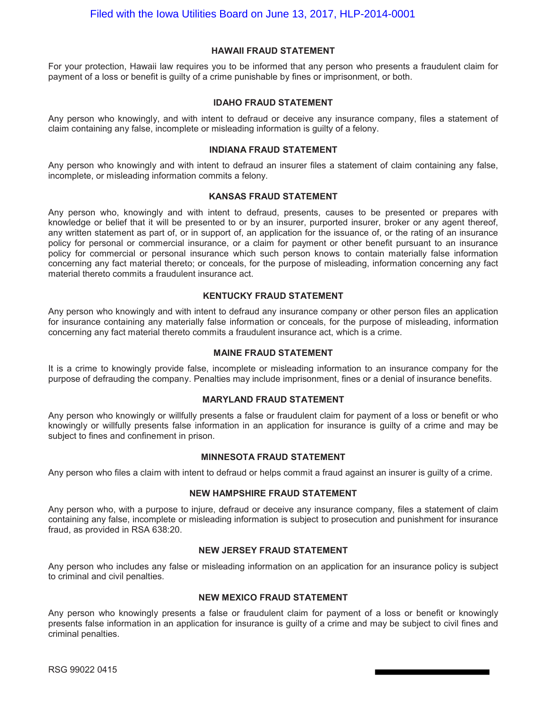### **HAWAII FRAUD STATEMENT**

For your protection, Hawaii law requires you to be informed that any person who presents a fraudulent claim for payment of a loss or benefit is guilty of a crime punishable by fines or imprisonment, or both.

### **IDAHO FRAUD STATEMENT**

Any person who knowingly, and with intent to defraud or deceive any insurance company, files a statement of claim containing any false, incomplete or misleading information is guilty of a felony.

### **INDIANA FRAUD STATEMENT**

Any person who knowingly and with intent to defraud an insurer files a statement of claim containing any false, incomplete, or misleading information commits a felony.

### **KANSAS FRAUD STATEMENT**

Any person who, knowingly and with intent to defraud, presents, causes to be presented or prepares with knowledge or belief that it will be presented to or by an insurer, purported insurer, broker or any agent thereof, any written statement as part of, or in support of, an application for the issuance of, or the rating of an insurance policy for personal or commercial insurance, or a claim for payment or other benefit pursuant to an insurance policy for commercial or personal insurance which such person knows to contain materially false information concerning any fact material thereto; or conceals, for the purpose of misleading, information concerning any fact material thereto commits a fraudulent insurance act.

### **KENTUCKY FRAUD STATEMENT**

Any person who knowingly and with intent to defraud any insurance company or other person files an application for insurance containing any materially false information or conceals, for the purpose of misleading, information concerning any fact material thereto commits a fraudulent insurance act, which is a crime.

### **MAINE FRAUD STATEMENT**

It is a crime to knowingly provide false, incomplete or misleading information to an insurance company for the purpose of defrauding the company. Penalties may include imprisonment, fines or a denial of insurance benefits.

### **MARYLAND FRAUD STATEMENT**

Any person who knowingly or willfully presents a false or fraudulent claim for payment of a loss or benefit or who knowingly or willfully presents false information in an application for insurance is guilty of a crime and may be subject to fines and confinement in prison.

### **MINNESOTA FRAUD STATEMENT**

Any person who files a claim with intent to defraud or helps commit a fraud against an insurer is guilty of a crime.

### **NEW HAMPSHIRE FRAUD STATEMENT**

Any person who, with a purpose to injure, defraud or deceive any insurance company, files a statement of claim containing any false, incomplete or misleading information is subject to prosecution and punishment for insurance fraud, as provided in RSA 638:20.

### **NEW JERSEY FRAUD STATEMENT**

Any person who includes any false or misleading information on an application for an insurance policy is subject to criminal and civil penalties.

### **NEW MEXICO FRAUD STATEMENT**

Any person who knowingly presents a false or fraudulent claim for payment of a loss or benefit or knowingly presents false information in an application for insurance is guilty of a crime and may be subject to civil fines and criminal penalties.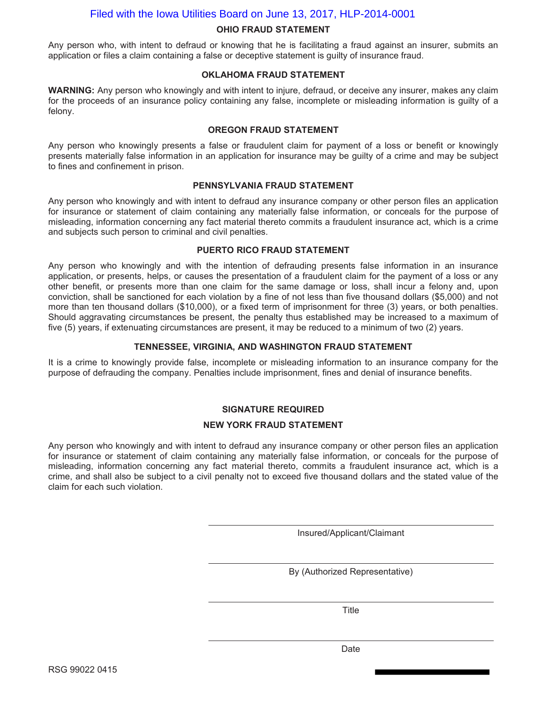# Filed with the Iowa Utilities Board on June 13, 2017, HLP-2014-0001

### **OHIO FRAUD STATEMENT**

Any person who, with intent to defraud or knowing that he is facilitating a fraud against an insurer, submits an application or files a claim containing a false or deceptive statement is guilty of insurance fraud.

### **OKLAHOMA FRAUD STATEMENT**

**WARNING:** Any person who knowingly and with intent to injure, defraud, or deceive any insurer, makes any claim for the proceeds of an insurance policy containing any false, incomplete or misleading information is guilty of a felony.

### **OREGON FRAUD STATEMENT**

Any person who knowingly presents a false or fraudulent claim for payment of a loss or benefit or knowingly presents materially false information in an application for insurance may be guilty of a crime and may be subject to fines and confinement in prison.

### **PENNSYLVANIA FRAUD STATEMENT**

Any person who knowingly and with intent to defraud any insurance company or other person files an application for insurance or statement of claim containing any materially false information, or conceals for the purpose of misleading, information concerning any fact material thereto commits a fraudulent insurance act, which is a crime and subjects such person to criminal and civil penalties.

### **PUERTO RICO FRAUD STATEMENT**

Any person who knowingly and with the intention of defrauding presents false information in an insurance application, or presents, helps, or causes the presentation of a fraudulent claim for the payment of a loss or any other benefit, or presents more than one claim for the same damage or loss, shall incur a felony and, upon conviction, shall be sanctioned for each violation by a fine of not less than five thousand dollars (\$5,000) and not more than ten thousand dollars (\$10,000), or a fixed term of imprisonment for three (3) years, or both penalties. Should aggravating circumstances be present, the penalty thus established may be increased to a maximum of five (5) years, if extenuating circumstances are present, it may be reduced to a minimum of two (2) years.

### **TENNESSEE, VIRGINIA, AND WASHINGTON FRAUD STATEMENT**

It is a crime to knowingly provide false, incomplete or misleading information to an insurance company for the purpose of defrauding the company. Penalties include imprisonment, fines and denial of insurance benefits.

### **SIGNATURE REQUIRED**

### **NEW YORK FRAUD STATEMENT**

Any person who knowingly and with intent to defraud any insurance company or other person files an application for insurance or statement of claim containing any materially false information, or conceals for the purpose of misleading, information concerning any fact material thereto, commits a fraudulent insurance act, which is a crime, and shall also be subject to a civil penalty not to exceed five thousand dollars and the stated value of the claim for each such violation.

Insured/Applicant/Claimant

By (Authorized Representative)

Title

Date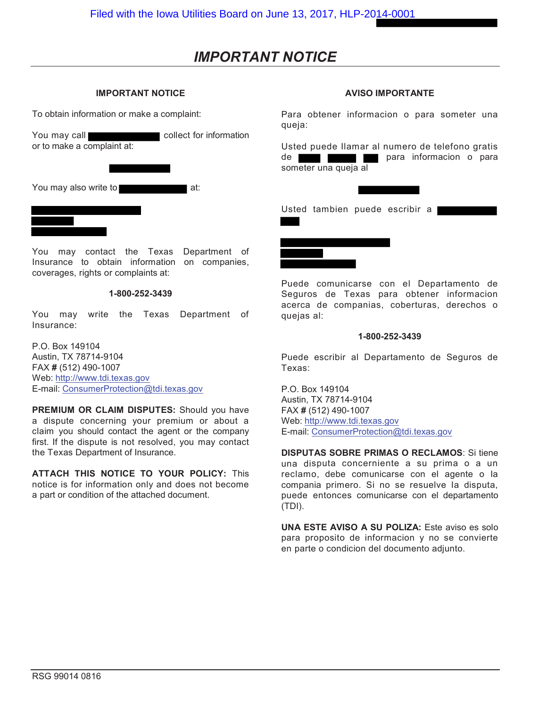# *IMPORTANT NOTICE*

### **IMPORTANT NOTICE**

To obtain information or make a complaint:

You may call **collect** for information or to make a complaint at:

You may also write to at:

You may contact the Texas Department of Insurance to obtain information on companies, coverages, rights or complaints at:

### **1-800-252-3439**

You may write the Texas Department of Insurance:

P.O. Box 149104 Austin, TX 78714-9104 FAX **#** (512) 490-1007 Web: http://www.tdi.texas.gov E-mail: ConsumerProtection@tdi.texas.gov

**PREMIUM OR CLAIM DISPUTES:** Should you have a dispute concerning your premium or about a claim you should contact the agent or the company first. If the dispute is not resolved, you may contact the Texas Department of Insurance.

**ATTACH THIS NOTICE TO YOUR POLICY:** This notice is for information only and does not become a part or condition of the attached document.

### **AVISO IMPORTANTE**

Para obtener informacion o para someter una queja:

Usted puede Ilamar al numero de telefono gratis de **para informacion** o para someter una queja al

Usted tambien puede escribir a



Puede comunicarse con el Departamento de Seguros de Texas para obtener informacion acerca de companias, coberturas, derechos o quejas al:

### **1-800-252-3439**

Puede escribir al Departamento de Seguros de Texas:

P.O. Box 149104 Austin, TX 78714-9104 FAX **#** (512) 490-1007 Web: http://www.tdi.texas.gov E-mail: ConsumerProtection@tdi.texas.gov

**DISPUTAS SOBRE PRIMAS O RECLAMOS**: Si tiene una disputa concerniente a su prima o a un reclamo, debe comunicarse con el agente o Ia compania primero. Si no se resuelve Ia disputa, puede entonces comunicarse con el departamento (TDI).

**UNA ESTE AVISO A SU POLIZA:** Este aviso es solo para proposito de informacion y no se convierte en parte o condicion del documento adjunto.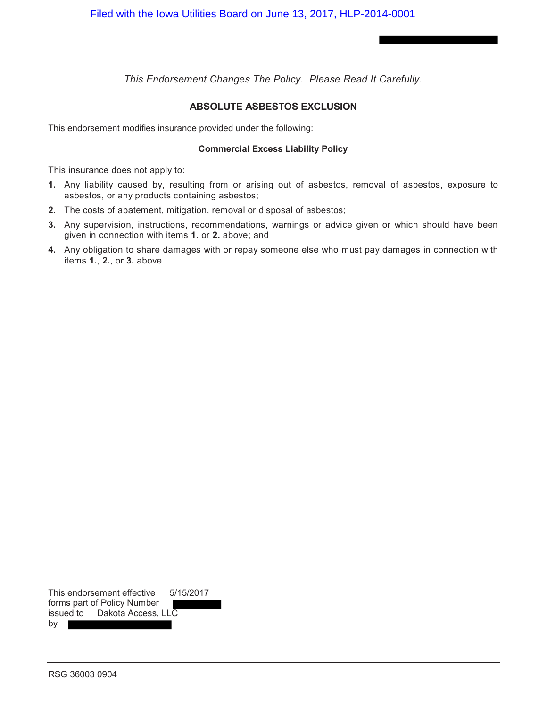# **ABSOLUTE ASBESTOS EXCLUSION**

This endorsement modifies insurance provided under the following:

### **Commercial Excess Liability Policy**

This insurance does not apply to:

- **1.** Any liability caused by, resulting from or arising out of asbestos, removal of asbestos, exposure to asbestos, or any products containing asbestos;
- **2.** The costs of abatement, mitigation, removal or disposal of asbestos;
- **3.** Any supervision, instructions, recommendations, warnings or advice given or which should have been given in connection with items **1.** or **2.** above; and
- **4.** Any obligation to share damages with or repay someone else who must pay damages in connection with items **1.**, **2.**, or **3.** above.

This endorsement effective 5/15/2017 forms part of Policy Number issued to Dakota Access, LLC by I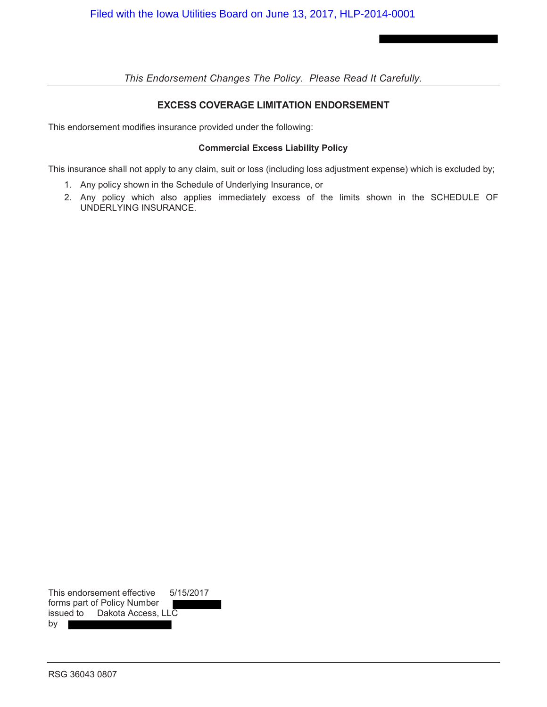# **EXCESS COVERAGE LIMITATION ENDORSEMENT**

This endorsement modifies insurance provided under the following:

## **Commercial Excess Liability Policy**

This insurance shall not apply to any claim, suit or loss (including loss adjustment expense) which is excluded by;

- 1. Any policy shown in the Schedule of Underlying Insurance, or
- 2. Any policy which also applies immediately excess of the limits shown in the SCHEDULE OF UNDERLYING INSURANCE.

|           | This endorsement effective  | 5/15/2017 |
|-----------|-----------------------------|-----------|
|           | forms part of Policy Number |           |
| issued to | Dakota Access, LLC          |           |
| by        |                             |           |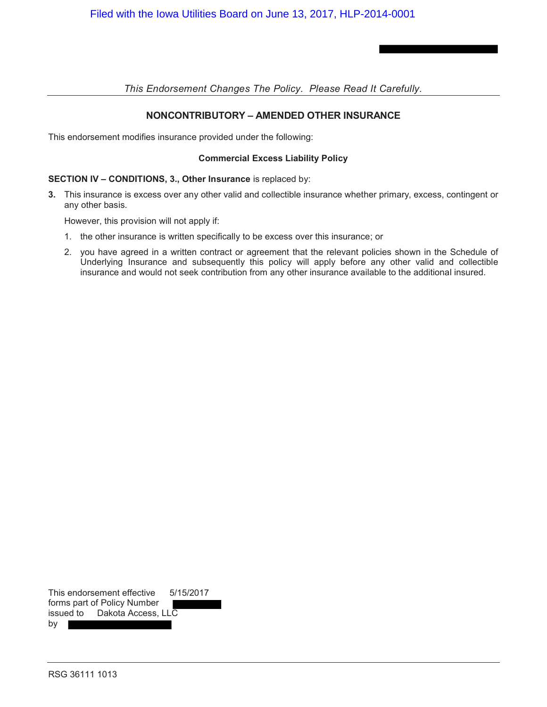# **NONCONTRIBUTORY – AMENDED OTHER INSURANCE**

This endorsement modifies insurance provided under the following:

### **Commercial Excess Liability Policy**

### **SECTION IV – CONDITIONS, 3., Other Insurance** is replaced by:

**3.** This insurance is excess over any other valid and collectible insurance whether primary, excess, contingent or any other basis.

However, this provision will not apply if:

- 1. the other insurance is written specifically to be excess over this insurance; or
- 2. you have agreed in a written contract or agreement that the relevant policies shown in the Schedule of Underlying Insurance and subsequently this policy will apply before any other valid and collectible insurance and would not seek contribution from any other insurance available to the additional insured.

|           | This endorsement effective  | 5/15/2017 |
|-----------|-----------------------------|-----------|
|           | forms part of Policy Number |           |
| issued to | Dakota Access, LLC          |           |
| bv        |                             |           |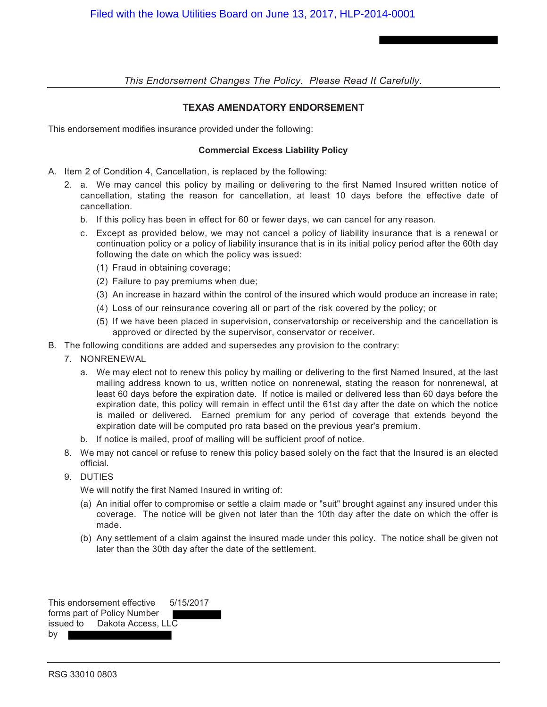# **TEXAS AMENDATORY ENDORSEMENT**

This endorsement modifies insurance provided under the following:

### **Commercial Excess Liability Policy**

- A. Item 2 of Condition 4, Cancellation, is replaced by the following:
	- 2. a. We may cancel this policy by mailing or delivering to the first Named Insured written notice of cancellation, stating the reason for cancellation, at least 10 days before the effective date of cancellation.
		- b. If this policy has been in effect for 60 or fewer days, we can cancel for any reason.
		- c. Except as provided below, we may not cancel a policy of liability insurance that is a renewal or continuation policy or a policy of liability insurance that is in its initial policy period after the 60th day following the date on which the policy was issued:
			- (1) Fraud in obtaining coverage;
			- (2) Failure to pay premiums when due;
			- (3) An increase in hazard within the control of the insured which would produce an increase in rate;
			- (4) Loss of our reinsurance covering all or part of the risk covered by the policy; or
			- (5) If we have been placed in supervision, conservatorship or receivership and the cancellation is approved or directed by the supervisor, conservator or receiver.
- B. The following conditions are added and supersedes any provision to the contrary:
	- 7. NONRENEWAL
		- a. We may elect not to renew this policy by mailing or delivering to the first Named Insured, at the last mailing address known to us, written notice on nonrenewal, stating the reason for nonrenewal, at least 60 days before the expiration date. If notice is mailed or delivered less than 60 days before the expiration date, this policy will remain in effect until the 61st day after the date on which the notice is mailed or delivered. Earned premium for any period of coverage that extends beyond the expiration date will be computed pro rata based on the previous year's premium.
		- b. If notice is mailed, proof of mailing will be sufficient proof of notice.
	- 8. We may not cancel or refuse to renew this policy based solely on the fact that the Insured is an elected official.
	- 9. DUTIES

We will notify the first Named Insured in writing of:

- (a) An initial offer to compromise or settle a claim made or "suit" brought against any insured under this coverage. The notice will be given not later than the 10th day after the date on which the offer is made.
- (b) Any settlement of a claim against the insured made under this policy. The notice shall be given not later than the 30th day after the date of the settlement.

|                             | This endorsement effective   | 5/15/2017 |
|-----------------------------|------------------------------|-----------|
| forms part of Policy Number |                              |           |
|                             | issued to Dakota Access, LLC |           |
| by                          |                              |           |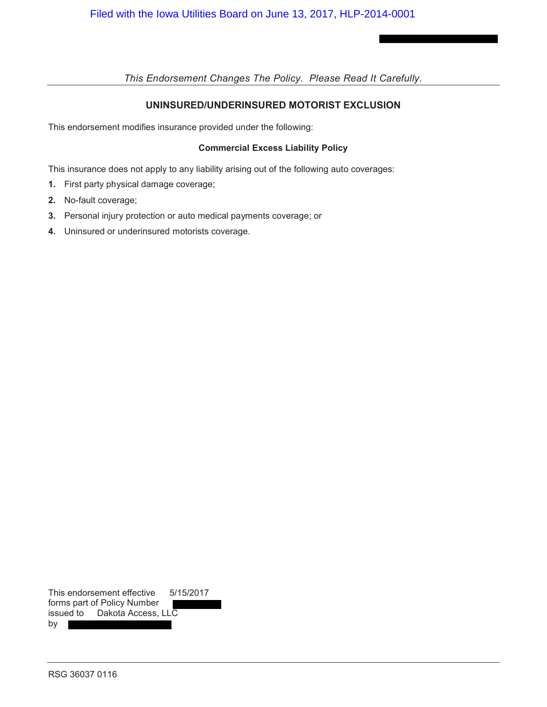# **UNINSURED/UNDERINSURED MOTORIST EXCLUSION**

This endorsement modifies insurance provided under the following:

# **Commercial Excess Liability Policy**

This insurance does not apply to any liability arising out of the following auto coverages:

- **1.** First party physical damage coverage;
- **2.** No-fault coverage;
- **3.** Personal injury protection or auto medical payments coverage; or
- **4.** Uninsured or underinsured motorists coverage.

|                             | This endorsement effective | 5/15/2017 |  |
|-----------------------------|----------------------------|-----------|--|
| forms part of Policy Number |                            |           |  |
| issued to                   | Dakota Access, LLC         |           |  |
| by                          |                            |           |  |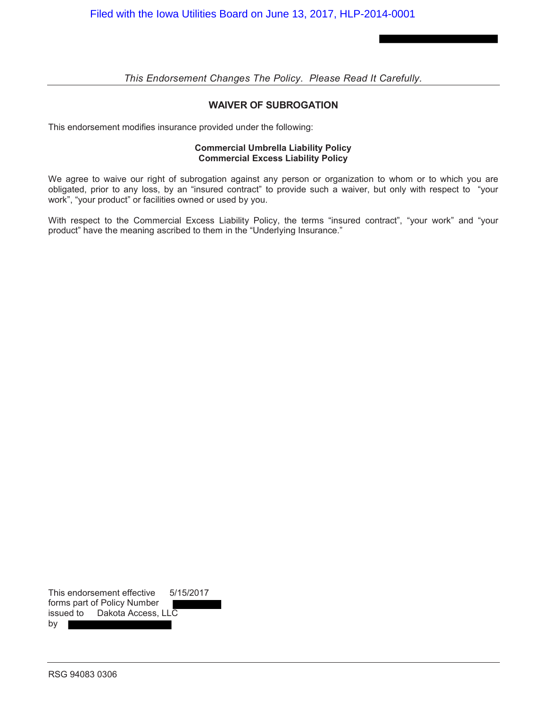## **WAIVER OF SUBROGATION**

This endorsement modifies insurance provided under the following:

### **Commercial Umbrella Liability Policy Commercial Excess Liability Policy**

We agree to waive our right of subrogation against any person or organization to whom or to which you are obligated, prior to any loss, by an "insured contract" to provide such a waiver, but only with respect to "your work", "your product" or facilities owned or used by you.

With respect to the Commercial Excess Liability Policy, the terms "insured contract", "your work" and "your product" have the meaning ascribed to them in the "Underlying Insurance."

This endorsement effective 5/15/2017 forms part of Policy Number issued to Dakota Access, LLC  $by$  |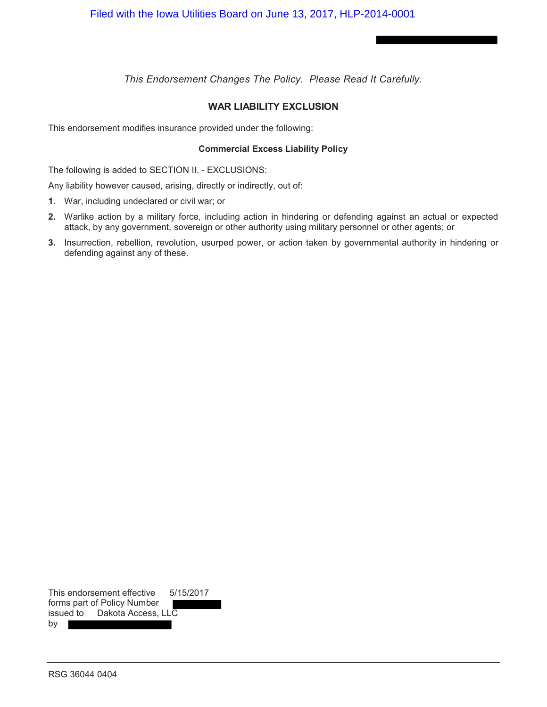# **WAR LIABILITY EXCLUSION**

This endorsement modifies insurance provided under the following:

### **Commercial Excess Liability Policy**

The following is added to SECTION II. - EXCLUSIONS:

Any liability however caused, arising, directly or indirectly, out of:

- **1.** War, including undeclared or civil war; or
- **2.** Warlike action by a military force, including action in hindering or defending against an actual or expected attack, by any government, sovereign or other authority using military personnel or other agents; or
- **3.** Insurrection, rebellion, revolution, usurped power, or action taken by governmental authority in hindering or defending against any of these.

This endorsement effective 5/15/2017 forms part of Policy Number issued to Dakota Access, LLC by I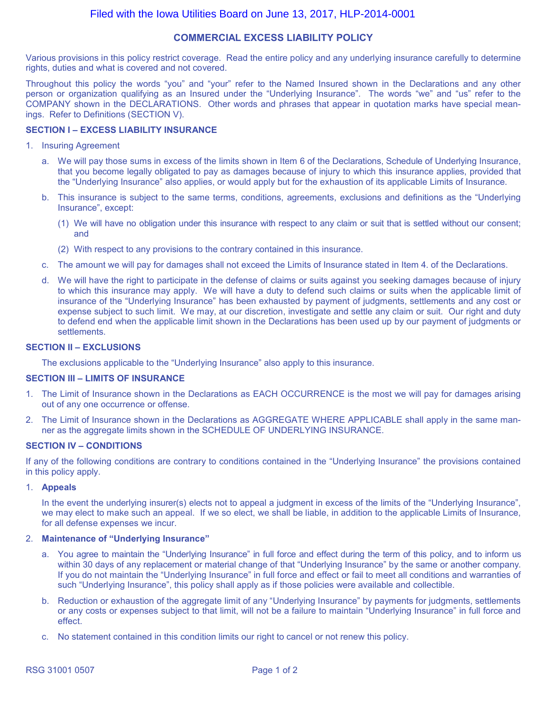# Filed with the Iowa Utilities Board on June 13, 2017, HLP-2014-0001

### **COMMERCIAL EXCESS LIABILITY POLICY**

Various provisions in this policy restrict coverage. Read the entire policy and any underlying insurance carefully to determine rights, duties and what is covered and not covered.

Throughout this policy the words "you" and "your" refer to the Named Insured shown in the Declarations and any other person or organization qualifying as an Insured under the "Underlying Insurance". The words "we" and "us" refer to the COMPANY shown in the DECLARATIONS. Other words and phrases that appear in quotation marks have special meanings. Refer to Definitions (SECTION V).

### **SECTION I – EXCESS LIABILITY INSURANCE**

- 1. Insuring Agreement
	- a. We will pay those sums in excess of the limits shown in Item 6 of the Declarations, Schedule of Underlying Insurance, that you become legally obligated to pay as damages because of injury to which this insurance applies, provided that the "Underlying Insurance" also applies, or would apply but for the exhaustion of its applicable Limits of Insurance.
	- b. This insurance is subject to the same terms, conditions, agreements, exclusions and definitions as the "Underlying Insurance", except:
		- (1) We will have no obligation under this insurance with respect to any claim or suit that is settled without our consent; and
		- (2) With respect to any provisions to the contrary contained in this insurance.
	- c. The amount we will pay for damages shall not exceed the Limits of Insurance stated in Item 4. of the Declarations.
	- d. We will have the right to participate in the defense of claims or suits against you seeking damages because of injury to which this insurance may apply. We will have a duty to defend such claims or suits when the applicable limit of insurance of the "Underlying Insurance" has been exhausted by payment of judgments, settlements and any cost or expense subject to such limit. We may, at our discretion, investigate and settle any claim or suit. Our right and duty to defend end when the applicable limit shown in the Declarations has been used up by our payment of judgments or settlements.

### **SECTION II – EXCLUSIONS**

The exclusions applicable to the "Underlying Insurance" also apply to this insurance.

### **SECTION III – LIMITS OF INSURANCE**

- 1. The Limit of Insurance shown in the Declarations as EACH OCCURRENCE is the most we will pay for damages arising out of any one occurrence or offense.
- 2. The Limit of Insurance shown in the Declarations as AGGREGATE WHERE APPLICABLE shall apply in the same manner as the aggregate limits shown in the SCHEDULE OF UNDERLYING INSURANCE.

### **SECTION IV – CONDITIONS**

If any of the following conditions are contrary to conditions contained in the "Underlying Insurance" the provisions contained in this policy apply.

### 1. **Appeals**

In the event the underlying insurer(s) elects not to appeal a judgment in excess of the limits of the "Underlying Insurance", we may elect to make such an appeal. If we so elect, we shall be liable, in addition to the applicable Limits of Insurance, for all defense expenses we incur.

### 2. **Maintenance of "Underlying Insurance"**

- a. You agree to maintain the "Underlying Insurance" in full force and effect during the term of this policy, and to inform us within 30 days of any replacement or material change of that "Underlying Insurance" by the same or another company. If you do not maintain the "Underlying Insurance" in full force and effect or fail to meet all conditions and warranties of such "Underlying Insurance", this policy shall apply as if those policies were available and collectible.
- b. Reduction or exhaustion of the aggregate limit of any "Underlying Insurance" by payments for judgments, settlements or any costs or expenses subject to that limit, will not be a failure to maintain "Underlying Insurance" in full force and effect.
- c. No statement contained in this condition limits our right to cancel or not renew this policy.